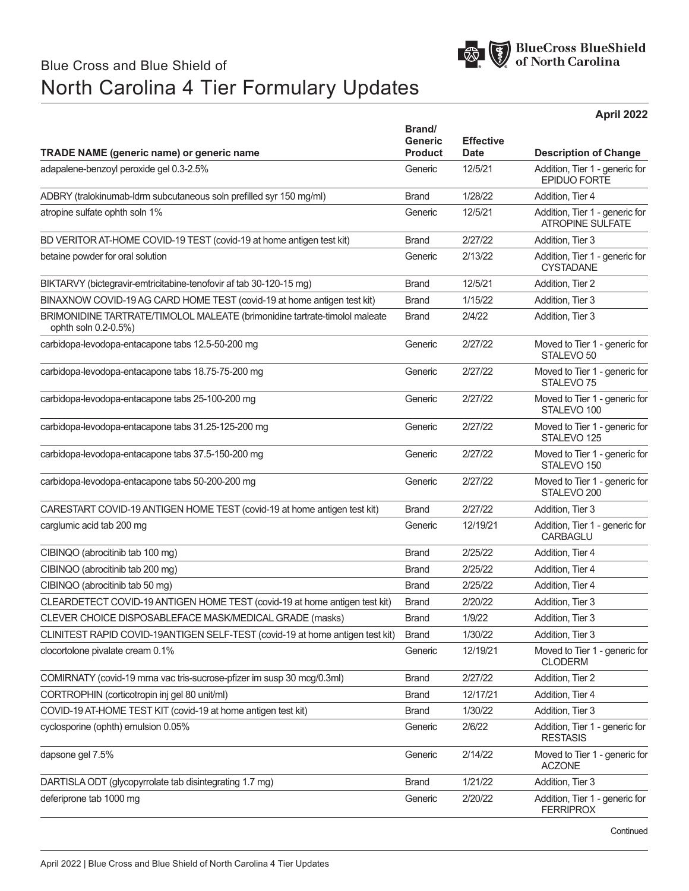

## Blue Cross and Blue Shield of North Carolina 4 Tier Formulary Updates

**April 2022**

| <b>TRADE NAME (generic name) or generic name</b>                                                   | Brand/<br>Generic<br><b>Product</b> | <b>Effective</b><br><b>Date</b> | <b>Description of Change</b>                              |
|----------------------------------------------------------------------------------------------------|-------------------------------------|---------------------------------|-----------------------------------------------------------|
| adapalene-benzoyl peroxide gel 0.3-2.5%                                                            | Generic                             | 12/5/21                         | Addition, Tier 1 - generic for<br><b>EPIDUO FORTE</b>     |
| ADBRY (tralokinumab-ldrm subcutaneous soln prefilled syr 150 mg/ml)                                | <b>Brand</b>                        | 1/28/22                         | Addition, Tier 4                                          |
| atropine sulfate ophth soln 1%                                                                     | Generic                             | 12/5/21                         | Addition, Tier 1 - generic for<br><b>ATROPINE SULFATE</b> |
| BD VERITOR AT-HOME COVID-19 TEST (covid-19 at home antigen test kit)                               | <b>Brand</b>                        | 2/27/22                         | Addition, Tier 3                                          |
| betaine powder for oral solution                                                                   | Generic                             | 2/13/22                         | Addition, Tier 1 - generic for<br><b>CYSTADANE</b>        |
| BIKTARVY (bictegravir-emtricitabine-tenofovir af tab 30-120-15 mg)                                 | <b>Brand</b>                        | 12/5/21                         | Addition, Tier 2                                          |
| BINAXNOW COVID-19 AG CARD HOME TEST (covid-19 at home antigen test kit)                            | <b>Brand</b>                        | 1/15/22                         | Addition, Tier 3                                          |
| BRIMONIDINE TARTRATE/TIMOLOL MALEATE (brimonidine tartrate-timolol maleate<br>ophth soln 0.2-0.5%) | <b>Brand</b>                        | 2/4/22                          | Addition, Tier 3                                          |
| carbidopa-levodopa-entacapone tabs 12.5-50-200 mg                                                  | Generic                             | 2/27/22                         | Moved to Tier 1 - generic for<br>STALEVO <sub>50</sub>    |
| carbidopa-levodopa-entacapone tabs 18.75-75-200 mg                                                 | Generic                             | 2/27/22                         | Moved to Tier 1 - generic for<br>STAI FVO 75              |
| carbidopa-levodopa-entacapone tabs 25-100-200 mg                                                   | Generic                             | 2/27/22                         | Moved to Tier 1 - generic for<br>STALEVO <sub>100</sub>   |
| carbidopa-levodopa-entacapone tabs 31.25-125-200 mg                                                | Generic                             | 2/27/22                         | Moved to Tier 1 - generic for<br>STALEVO <sub>125</sub>   |
| carbidopa-levodopa-entacapone tabs 37.5-150-200 mg                                                 | Generic                             | 2/27/22                         | Moved to Tier 1 - generic for<br>STALEVO <sub>150</sub>   |
| carbidopa-levodopa-entacapone tabs 50-200-200 mg                                                   | Generic                             | 2/27/22                         | Moved to Tier 1 - generic for<br>STALEVO <sub>200</sub>   |
| CARESTART COVID-19 ANTIGEN HOME TEST (covid-19 at home antigen test kit)                           | <b>Brand</b>                        | 2/27/22                         | Addition, Tier 3                                          |
| carglumic acid tab 200 mg                                                                          | Generic                             | 12/19/21                        | Addition, Tier 1 - generic for<br>CARBAGLU                |
| CIBINQO (abrocitinib tab 100 mg)                                                                   | <b>Brand</b>                        | 2/25/22                         | Addition, Tier 4                                          |
| CIBINQO (abrocitinib tab 200 mg)                                                                   | <b>Brand</b>                        | 2/25/22                         | Addition, Tier 4                                          |
| CIBINQO (abrocitinib tab 50 mg)                                                                    | <b>Brand</b>                        | 2/25/22                         | Addition, Tier 4                                          |
| CLEARDETECT COVID-19 ANTIGEN HOME TEST (covid-19 at home antigen test kit)                         | <b>Brand</b>                        | 2/20/22                         | Addition, Tier 3                                          |
| CLEVER CHOICE DISPOSABLEFACE MASK/MEDICAL GRADE (masks)                                            | <b>Brand</b>                        | 1/9/22                          | Addition, Tier 3                                          |
| CLINITEST RAPID COVID-19ANTIGEN SELF-TEST (covid-19 at home antigen test kit)                      | <b>Brand</b>                        | 1/30/22                         | Addition, Tier 3                                          |
| clocortolone pivalate cream 0.1%                                                                   | Generic                             | 12/19/21                        | Moved to Tier 1 - generic for<br><b>CLODERM</b>           |
| COMIRNATY (covid-19 mma vac tris-sucrose-pfizer im susp 30 mcg/0.3ml)                              | <b>Brand</b>                        | 2/27/22                         | Addition, Tier 2                                          |
| CORTROPHIN (corticotropin inj gel 80 unit/ml)                                                      | <b>Brand</b>                        | 12/17/21                        | Addition, Tier 4                                          |
| COVID-19 AT-HOME TEST KIT (covid-19 at home antigen test kit)                                      | <b>Brand</b>                        | 1/30/22                         | Addition, Tier 3                                          |
| cyclosporine (ophth) emulsion 0.05%                                                                | Generic                             | 2/6/22                          | Addition, Tier 1 - generic for<br><b>RESTASIS</b>         |
| dapsone gel 7.5%                                                                                   | Generic                             | 2/14/22                         | Moved to Tier 1 - generic for<br><b>ACZONE</b>            |
| DARTISLA ODT (glycopyrrolate tab disintegrating 1.7 mg)                                            | <b>Brand</b>                        | 1/21/22                         | Addition, Tier 3                                          |
| deferiprone tab 1000 mg                                                                            | Generic                             | 2/20/22                         | Addition, Tier 1 - generic for<br><b>FERRIPROX</b>        |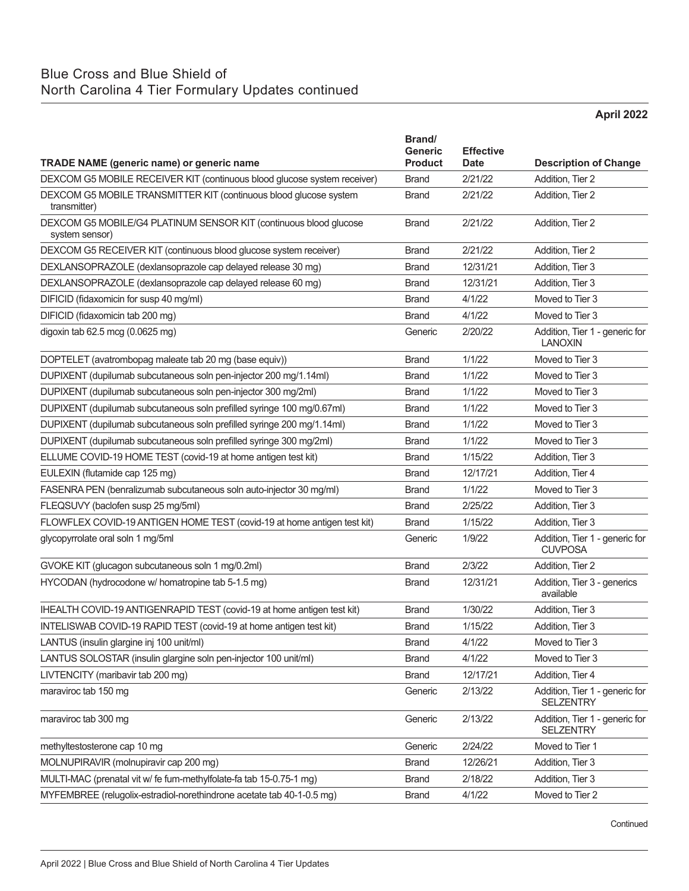## Blue Cross and Blue Shield of North Carolina 4 Tier Formulary Updates continued

**April 2022**

| <b>TRADE NAME (generic name) or generic name</b>                                    | Brand/<br><b>Generic</b><br><b>Product</b> | <b>Effective</b><br><b>Date</b> | <b>Description of Change</b>                       |
|-------------------------------------------------------------------------------------|--------------------------------------------|---------------------------------|----------------------------------------------------|
| DEXCOM G5 MOBILE RECEIVER KIT (continuous blood glucose system receiver)            | <b>Brand</b>                               | 2/21/22                         | Addition, Tier 2                                   |
| DEXCOM G5 MOBILE TRANSMITTER KIT (continuous blood glucose system<br>transmitter)   | <b>Brand</b>                               | 2/21/22                         | Addition, Tier 2                                   |
| DEXCOM G5 MOBILE/G4 PLATINUM SENSOR KIT (continuous blood glucose<br>system sensor) | <b>Brand</b>                               | 2/21/22                         | Addition, Tier 2                                   |
| DEXCOM G5 RECEIVER KIT (continuous blood glucose system receiver)                   | <b>Brand</b>                               | 2/21/22                         | Addition, Tier 2                                   |
| DEXLANSOPRAZOLE (dexlansoprazole cap delayed release 30 mg)                         | <b>Brand</b>                               | 12/31/21                        | Addition, Tier 3                                   |
| DEXLANSOPRAZOLE (dexlansoprazole cap delayed release 60 mg)                         | <b>Brand</b>                               | 12/31/21                        | Addition, Tier 3                                   |
| DIFICID (fidaxomicin for susp 40 mg/ml)                                             | <b>Brand</b>                               | 4/1/22                          | Moved to Tier 3                                    |
| DIFICID (fidaxomicin tab 200 mg)                                                    | <b>Brand</b>                               | 4/1/22                          | Moved to Tier 3                                    |
| digoxin tab 62.5 mcg (0.0625 mg)                                                    | Generic                                    | 2/20/22                         | Addition, Tier 1 - generic for<br><b>LANOXIN</b>   |
| DOPTELET (avatrombopag maleate tab 20 mg (base equiv))                              | <b>Brand</b>                               | 1/1/22                          | Moved to Tier 3                                    |
| DUPIXENT (dupilumab subcutaneous soln pen-injector 200 mg/1.14ml)                   | <b>Brand</b>                               | 1/1/22                          | Moved to Tier 3                                    |
| DUPIXENT (dupilumab subcutaneous soln pen-injector 300 mg/2ml)                      | <b>Brand</b>                               | 1/1/22                          | Moved to Tier 3                                    |
| DUPIXENT (dupilumab subcutaneous soln prefilled syringe 100 mg/0.67ml)              | <b>Brand</b>                               | 1/1/22                          | Moved to Tier 3                                    |
| DUPIXENT (dupilumab subcutaneous soln prefilled syringe 200 mg/1.14ml)              | <b>Brand</b>                               | 1/1/22                          | Moved to Tier 3                                    |
| DUPIXENT (dupilumab subcutaneous soln prefilled syringe 300 mg/2ml)                 | <b>Brand</b>                               | 1/1/22                          | Moved to Tier 3                                    |
| ELLUME COVID-19 HOME TEST (covid-19 at home antigen test kit)                       | <b>Brand</b>                               | 1/15/22                         | Addition, Tier 3                                   |
| EULEXIN (flutamide cap 125 mg)                                                      | <b>Brand</b>                               | 12/17/21                        | Addition, Tier 4                                   |
| FASENRA PEN (benralizumab subcutaneous soln auto-injector 30 mg/ml)                 | <b>Brand</b>                               | 1/1/22                          | Moved to Tier 3                                    |
| FLEQSUVY (baclofen susp 25 mg/5ml)                                                  | <b>Brand</b>                               | 2/25/22                         | Addition, Tier 3                                   |
| FLOWFLEX COVID-19 ANTIGEN HOME TEST (covid-19 at home antigen test kit)             | <b>Brand</b>                               | 1/15/22                         | Addition, Tier 3                                   |
| glycopyrrolate oral soln 1 mg/5ml                                                   | Generic                                    | 1/9/22                          | Addition, Tier 1 - generic for<br><b>CUVPOSA</b>   |
| GVOKE KIT (glucagon subcutaneous soln 1 mg/0.2ml)                                   | <b>Brand</b>                               | 2/3/22                          | Addition, Tier 2                                   |
| HYCODAN (hydrocodone w/ homatropine tab 5-1.5 mg)                                   | <b>Brand</b>                               | 12/31/21                        | Addition, Tier 3 - generics<br>available           |
| IHEALTH COVID-19 ANTIGENRAPID TEST (covid-19 at home antigen test kit)              | <b>Brand</b>                               | 1/30/22                         | Addition, Tier 3                                   |
| INTELISWAB COVID-19 RAPID TEST (covid-19 at home antigen test kit)                  | <b>Brand</b>                               | 1/15/22                         | Addition, Tier 3                                   |
| LANTUS (insulin glargine inj 100 unit/ml)                                           | <b>Brand</b>                               | 4/1/22                          | Moved to Tier 3                                    |
| LANTUS SOLOSTAR (insulin glargine soln pen-injector 100 unit/ml)                    | <b>Brand</b>                               | 4/1/22                          | Moved to Tier 3                                    |
| LIVTENCITY (maribavir tab 200 mg)                                                   | <b>Brand</b>                               | 12/17/21                        | Addition, Tier 4                                   |
| maraviroc tab 150 mg                                                                | Generic                                    | 2/13/22                         | Addition, Tier 1 - generic for<br><b>SELZENTRY</b> |
| maraviroc tab 300 mg                                                                | Generic                                    | 2/13/22                         | Addition, Tier 1 - generic for<br><b>SELZENTRY</b> |
| methyltestosterone cap 10 mg                                                        | Generic                                    | 2/24/22                         | Moved to Tier 1                                    |
| MOLNUPIRAVIR (molnupiravir cap 200 mg)                                              | <b>Brand</b>                               | 12/26/21                        | Addition, Tier 3                                   |
| MULTI-MAC (prenatal vit w/ fe fum-methylfolate-fa tab 15-0.75-1 mg)                 | <b>Brand</b>                               | 2/18/22                         | Addition, Tier 3                                   |
| MYFEMBREE (relugolix-estradiol-norethindrone acetate tab 40-1-0.5 mg)               | <b>Brand</b>                               | 4/1/22                          | Moved to Tier 2                                    |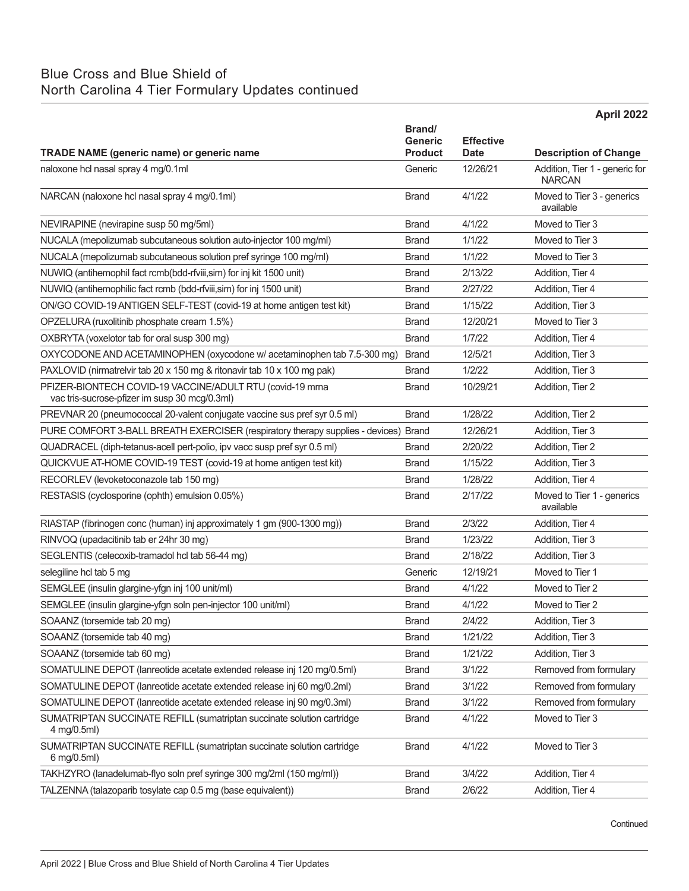## Blue Cross and Blue Shield of North Carolina 4 Tier Formulary Updates continued

|                                                                                                            |                                  |                                 | April 2022                                      |
|------------------------------------------------------------------------------------------------------------|----------------------------------|---------------------------------|-------------------------------------------------|
|                                                                                                            | Brand/                           |                                 |                                                 |
| <b>TRADE NAME (generic name) or generic name</b>                                                           | <b>Generic</b><br><b>Product</b> | <b>Effective</b><br><b>Date</b> | <b>Description of Change</b>                    |
| naloxone hcl nasal spray 4 mg/0.1ml                                                                        | Generic                          | 12/26/21                        | Addition, Tier 1 - generic for<br><b>NARCAN</b> |
| NARCAN (naloxone hcl nasal spray 4 mg/0.1ml)                                                               | <b>Brand</b>                     | 4/1/22                          | Moved to Tier 3 - generics<br>available         |
| NEVIRAPINE (nevirapine susp 50 mg/5ml)                                                                     | <b>Brand</b>                     | 4/1/22                          | Moved to Tier 3                                 |
| NUCALA (mepolizumab subcutaneous solution auto-injector 100 mg/ml)                                         | <b>Brand</b>                     | 1/1/22                          | Moved to Tier 3                                 |
| NUCALA (mepolizumab subcutaneous solution pref syringe 100 mg/ml)                                          | <b>Brand</b>                     | 1/1/22                          | Moved to Tier 3                                 |
| NUWIQ (antihemophil fact rcmb(bdd-rfviii, sim) for inj kit 1500 unit)                                      | <b>Brand</b>                     | 2/13/22                         | Addition, Tier 4                                |
| NUWIQ (antihemophilic fact rcmb (bdd-rfviii, sim) for inj 1500 unit)                                       | <b>Brand</b>                     | 2/27/22                         | Addition, Tier 4                                |
| ON/GO COVID-19 ANTIGEN SELF-TEST (covid-19 at home antigen test kit)                                       | <b>Brand</b>                     | 1/15/22                         | Addition, Tier 3                                |
| OPZELURA (ruxolitinib phosphate cream 1.5%)                                                                | <b>Brand</b>                     | 12/20/21                        | Moved to Tier 3                                 |
| OXBRYTA (voxelotor tab for oral susp 300 mg)                                                               | <b>Brand</b>                     | 1/7/22                          | Addition, Tier 4                                |
| OXYCODONE AND ACETAMINOPHEN (oxycodone w/ acetaminophen tab 7.5-300 mg)                                    | <b>Brand</b>                     | 12/5/21                         | Addition. Tier 3                                |
| PAXLOVID (nirmatrelvir tab 20 x 150 mg & ritonavir tab 10 x 100 mg pak)                                    | <b>Brand</b>                     | 1/2/22                          | Addition, Tier 3                                |
| PFIZER-BIONTECH COVID-19 VACCINE/ADULT RTU (covid-19 mrna<br>vac tris-sucrose-pfizer im susp 30 mcg/0.3ml) | <b>Brand</b>                     | 10/29/21                        | Addition. Tier 2                                |
| PREVNAR 20 (pneumococcal 20-valent conjugate vaccine sus pref syr 0.5 ml)                                  | <b>Brand</b>                     | 1/28/22                         | Addition, Tier 2                                |
| PURE COMFORT 3-BALL BREATH EXERCISER (respiratory therapy supplies - devices)                              | Brand                            | 12/26/21                        | Addition, Tier 3                                |
| QUADRACEL (diph-tetanus-acell pert-polio, ipv vacc susp pref syr 0.5 ml)                                   | <b>Brand</b>                     | 2/20/22                         | Addition, Tier 2                                |
| QUICKVUE AT-HOME COVID-19 TEST (covid-19 at home antigen test kit)                                         | <b>Brand</b>                     | 1/15/22                         | Addition, Tier 3                                |
| RECORLEV (levoketoconazole tab 150 mg)                                                                     | <b>Brand</b>                     | 1/28/22                         | Addition, Tier 4                                |
| RESTASIS (cyclosporine (ophth) emulsion 0.05%)                                                             | <b>Brand</b>                     | 2/17/22                         | Moved to Tier 1 - generics<br>available         |
| RIASTAP (fibrinogen conc (human) inj approximately 1 gm (900-1300 mg))                                     | <b>Brand</b>                     | 2/3/22                          | Addition, Tier 4                                |
| RINVOQ (upadacitinib tab er 24hr 30 mg)                                                                    | <b>Brand</b>                     | 1/23/22                         | Addition, Tier 3                                |
| SEGLENTIS (celecoxib-tramadol hcl tab 56-44 mg)                                                            | <b>Brand</b>                     | 2/18/22                         | Addition, Tier 3                                |
| selegiline hcl tab 5 mg                                                                                    | Generic                          | 12/19/21                        | Moved to Tier 1                                 |
| SEMGLEE (insulin glargine-yfgn inj 100 unit/ml)                                                            | <b>Brand</b>                     | 4/1/22                          | Moved to Tier 2                                 |
| SEMGLEE (insulin glargine-yfgn soln pen-injector 100 unit/ml)                                              | <b>Brand</b>                     | 4/1/22                          | Moved to Tier 2                                 |
| SOAANZ (torsemide tab 20 mg)                                                                               | <b>Brand</b>                     | 2/4/22                          | Addition, Tier 3                                |
| SOAANZ (torsemide tab 40 mg)                                                                               | <b>Brand</b>                     | 1/21/22                         | Addition, Tier 3                                |
| SOAANZ (torsemide tab 60 mg)                                                                               | <b>Brand</b>                     | 1/21/22                         | Addition, Tier 3                                |
| SOMATULINE DEPOT (lanreotide acetate extended release inj 120 mg/0.5ml)                                    | <b>Brand</b>                     | 3/1/22                          | Removed from formulary                          |
| SOMATULINE DEPOT (lanreotide acetate extended release inj 60 mg/0.2ml)                                     | <b>Brand</b>                     | 3/1/22                          | Removed from formulary                          |
| SOMATULINE DEPOT (lanreotide acetate extended release inj 90 mg/0.3ml)                                     | <b>Brand</b>                     | 3/1/22                          | Removed from formulary                          |
| SUMATRIPTAN SUCCINATE REFILL (sumatriptan succinate solution cartridge<br>4 mg/0.5ml)                      | <b>Brand</b>                     | 4/1/22                          | Moved to Tier 3                                 |
| SUMATRIPTAN SUCCINATE REFILL (sumatriptan succinate solution cartridge<br>6 mg/0.5ml)                      | <b>Brand</b>                     | 4/1/22                          | Moved to Tier 3                                 |
| TAKHZYRO (lanadelumab-flyo soln pref syringe 300 mg/2ml (150 mg/ml))                                       | <b>Brand</b>                     | 3/4/22                          | Addition, Tier 4                                |
| TALZENNA (talazoparib tosylate cap 0.5 mg (base equivalent))                                               | <b>Brand</b>                     | 2/6/22                          | Addition, Tier 4                                |